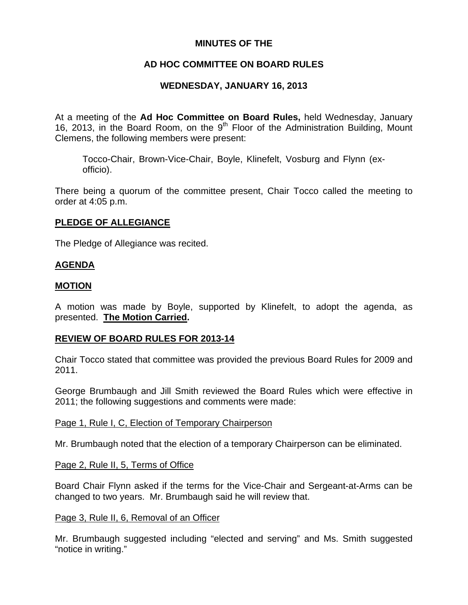## **MINUTES OF THE**

## **AD HOC COMMITTEE ON BOARD RULES**

## **WEDNESDAY, JANUARY 16, 2013**

At a meeting of the **Ad Hoc Committee on Board Rules,** held Wednesday, January 16, 2013, in the Board Room, on the  $9<sup>th</sup>$  Floor of the Administration Building, Mount Clemens, the following members were present:

Tocco-Chair, Brown-Vice-Chair, Boyle, Klinefelt, Vosburg and Flynn (exofficio).

There being a quorum of the committee present, Chair Tocco called the meeting to order at 4:05 p.m.

## **PLEDGE OF ALLEGIANCE**

The Pledge of Allegiance was recited.

## **AGENDA**

## **MOTION**

A motion was made by Boyle, supported by Klinefelt, to adopt the agenda, as presented. **The Motion Carried.** 

## **REVIEW OF BOARD RULES FOR 2013-14**

Chair Tocco stated that committee was provided the previous Board Rules for 2009 and 2011.

George Brumbaugh and Jill Smith reviewed the Board Rules which were effective in 2011; the following suggestions and comments were made:

### Page 1, Rule I, C, Election of Temporary Chairperson

Mr. Brumbaugh noted that the election of a temporary Chairperson can be eliminated.

## Page 2, Rule II, 5, Terms of Office

Board Chair Flynn asked if the terms for the Vice-Chair and Sergeant-at-Arms can be changed to two years. Mr. Brumbaugh said he will review that.

### Page 3, Rule II, 6, Removal of an Officer

Mr. Brumbaugh suggested including "elected and serving" and Ms. Smith suggested "notice in writing."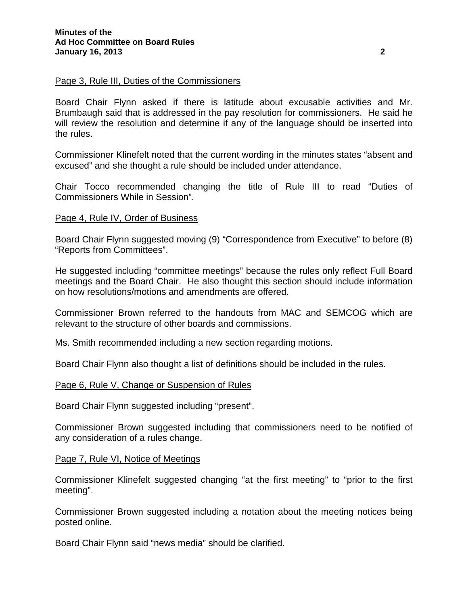#### Page 3, Rule III, Duties of the Commissioners

Board Chair Flynn asked if there is latitude about excusable activities and Mr. Brumbaugh said that is addressed in the pay resolution for commissioners. He said he will review the resolution and determine if any of the language should be inserted into the rules.

Commissioner Klinefelt noted that the current wording in the minutes states "absent and excused" and she thought a rule should be included under attendance.

Chair Tocco recommended changing the title of Rule III to read "Duties of Commissioners While in Session".

### Page 4, Rule IV, Order of Business

Board Chair Flynn suggested moving (9) "Correspondence from Executive" to before (8) "Reports from Committees".

He suggested including "committee meetings" because the rules only reflect Full Board meetings and the Board Chair. He also thought this section should include information on how resolutions/motions and amendments are offered.

Commissioner Brown referred to the handouts from MAC and SEMCOG which are relevant to the structure of other boards and commissions.

Ms. Smith recommended including a new section regarding motions.

Board Chair Flynn also thought a list of definitions should be included in the rules.

#### Page 6, Rule V, Change or Suspension of Rules

Board Chair Flynn suggested including "present".

Commissioner Brown suggested including that commissioners need to be notified of any consideration of a rules change.

#### Page 7, Rule VI, Notice of Meetings

Commissioner Klinefelt suggested changing "at the first meeting" to "prior to the first meeting".

Commissioner Brown suggested including a notation about the meeting notices being posted online.

Board Chair Flynn said "news media" should be clarified.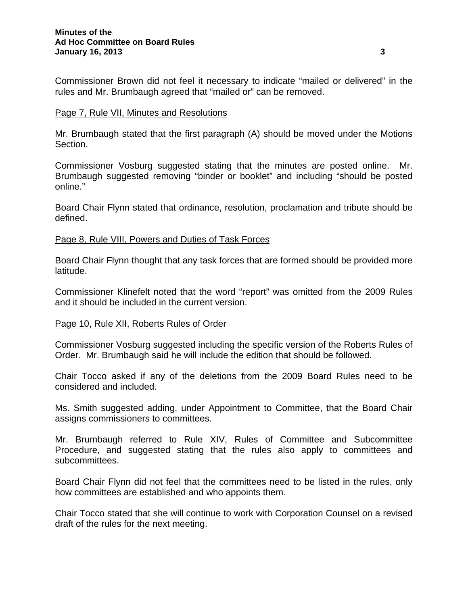Commissioner Brown did not feel it necessary to indicate "mailed or delivered" in the rules and Mr. Brumbaugh agreed that "mailed or" can be removed.

### Page 7, Rule VII, Minutes and Resolutions

Mr. Brumbaugh stated that the first paragraph (A) should be moved under the Motions Section.

Commissioner Vosburg suggested stating that the minutes are posted online. Mr. Brumbaugh suggested removing "binder or booklet" and including "should be posted online."

Board Chair Flynn stated that ordinance, resolution, proclamation and tribute should be defined.

## Page 8, Rule VIII, Powers and Duties of Task Forces

Board Chair Flynn thought that any task forces that are formed should be provided more latitude.

Commissioner Klinefelt noted that the word "report" was omitted from the 2009 Rules and it should be included in the current version.

### Page 10, Rule XII, Roberts Rules of Order

Commissioner Vosburg suggested including the specific version of the Roberts Rules of Order. Mr. Brumbaugh said he will include the edition that should be followed.

Chair Tocco asked if any of the deletions from the 2009 Board Rules need to be considered and included.

Ms. Smith suggested adding, under Appointment to Committee, that the Board Chair assigns commissioners to committees.

Mr. Brumbaugh referred to Rule XIV, Rules of Committee and Subcommittee Procedure, and suggested stating that the rules also apply to committees and subcommittees.

Board Chair Flynn did not feel that the committees need to be listed in the rules, only how committees are established and who appoints them.

Chair Tocco stated that she will continue to work with Corporation Counsel on a revised draft of the rules for the next meeting.